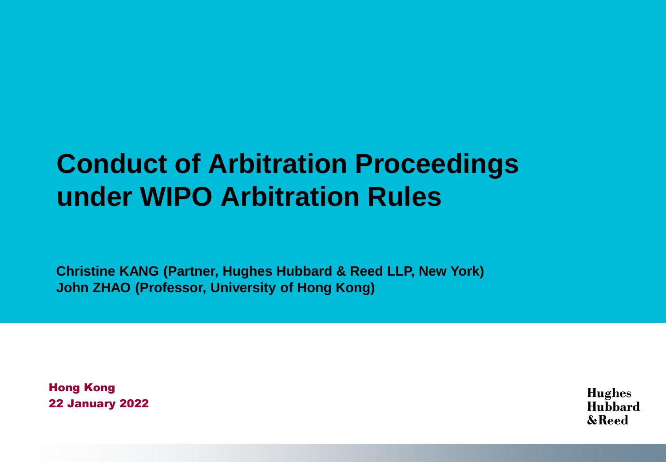### **Conduct of Arbitration Proceedings under WIPO Arbitration Rules**

**Christine KANG (Partner, Hughes Hubbard & Reed LLP, New York) John ZHAO (Professor, University of Hong Kong)**

Hong Kong 22 January 2022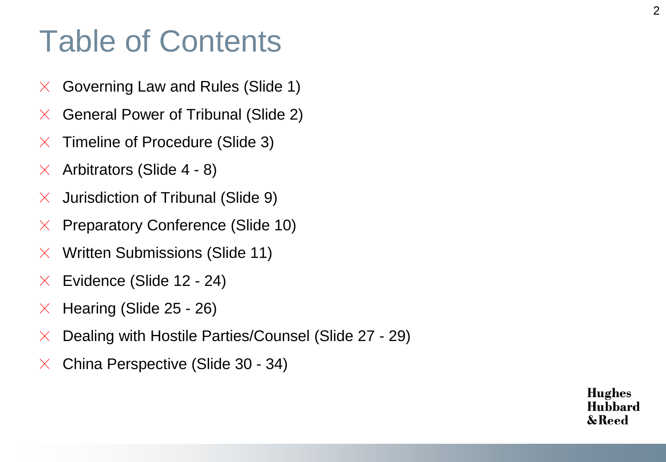### Table of Contents

- Governing Law and Rules (Slide 1)  $\times$
- General Power of Tribunal (Slide 2)  $\times$
- Timeline of Procedure (Slide 3)  $\mathsf{X}$
- Arbitrators (Slide 4 8)  $\times$
- Jurisdiction of Tribunal (Slide 9)  $\times$
- Preparatory Conference (Slide 10)  $\times$
- Written Submissions (Slide 11)  $\times$
- Evidence (Slide 12 24)  $\mathsf{X}$
- Hearing (Slide 25 26)  $\mathsf{X}$
- Dealing with Hostile Parties/Counsel (Slide 27 29)  $\times$
- China Perspective (Slide 30 34) $\chi$

2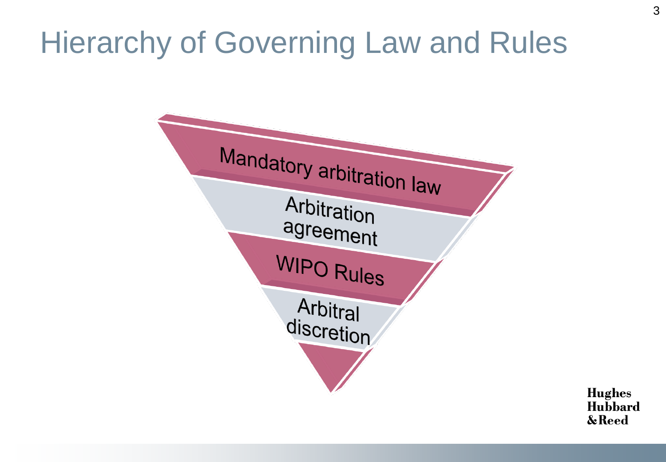## Hierarchy of Governing Law and Rules

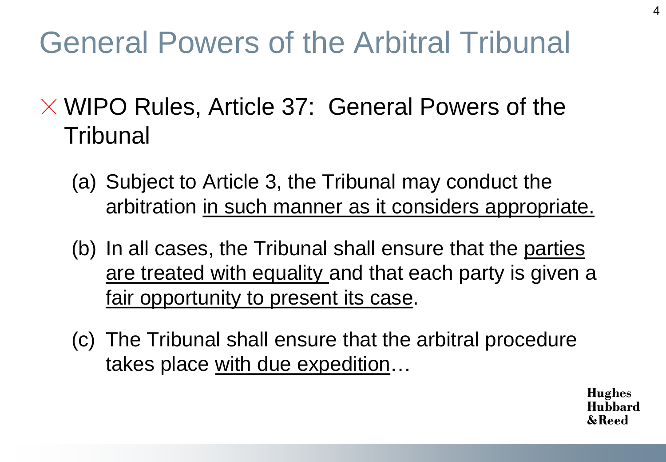# General Powers of the Arbitral Tribunal

- $\times$  WIPO Rules, Article 37: General Powers of the **Tribunal** 
	- (a) Subject to Article 3, the Tribunal may conduct the arbitration in such manner as it considers appropriate.
	- (b) In all cases, the Tribunal shall ensure that the parties are treated with equality and that each party is given a fair opportunity to present its case.
	- (c) The Tribunal shall ensure that the arbitral procedure takes place with due expedition…

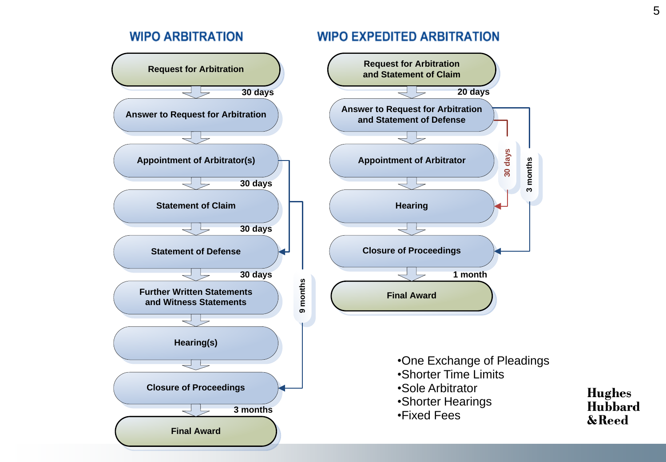#### **WIPO ARBITRATION**



#### **WIPO EXPEDITED ARBITRATION**

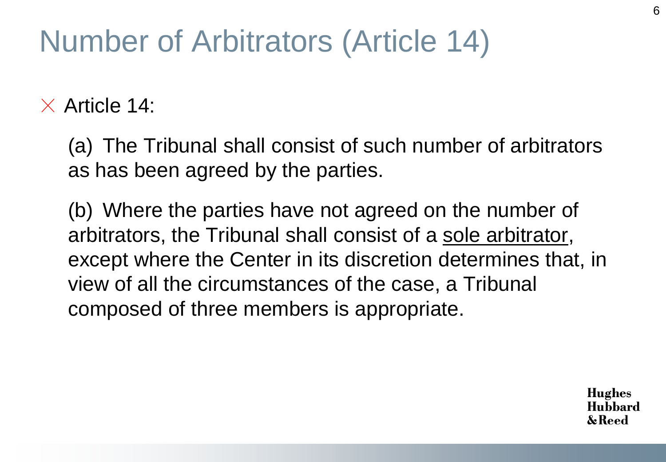## Number of Arbitrators (Article 14)

 $\times$  Article 14:

(a) The Tribunal shall consist of such number of arbitrators as has been agreed by the parties.

(b) Where the parties have not agreed on the number of arbitrators, the Tribunal shall consist of a sole arbitrator, except where the Center in its discretion determines that, in view of all the circumstances of the case, a Tribunal composed of three members is appropriate.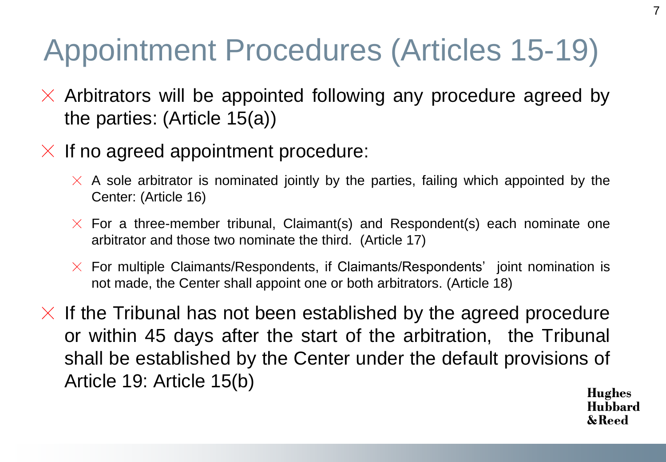# Appointment Procedures (Articles 15-19)

- $\times$  Arbitrators will be appointed following any procedure agreed by the parties: (Article 15(a))
- $\times$  If no agreed appointment procedure:
	- $\times$  A sole arbitrator is nominated jointly by the parties, failing which appointed by the Center: (Article 16)
	- $\times$  For a three-member tribunal, Claimant(s) and Respondent(s) each nominate one arbitrator and those two nominate the third. (Article 17)
	- $\times$  For multiple Claimants/Respondents, if Claimants/Respondents' joint nomination is not made, the Center shall appoint one or both arbitrators. (Article 18)
- $\times$  If the Tribunal has not been established by the agreed procedure or within 45 days after the start of the arbitration, the Tribunal shall be established by the Center under the default provisions of Article 19: Article 15(b)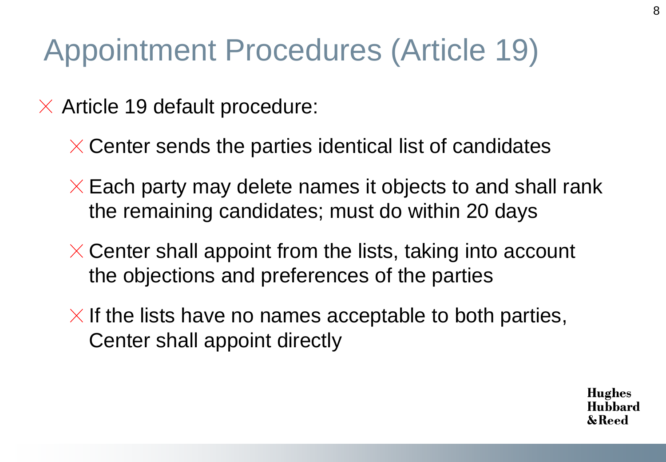## Appointment Procedures (Article 19)

- $\times$  Article 19 default procedure:
	- $\times$  Center sends the parties identical list of candidates
	- $\times$  Each party may delete names it objects to and shall rank the remaining candidates; must do within 20 days
	- $\times$  Center shall appoint from the lists, taking into account the objections and preferences of the parties
	- $\times$  If the lists have no names acceptable to both parties, Center shall appoint directly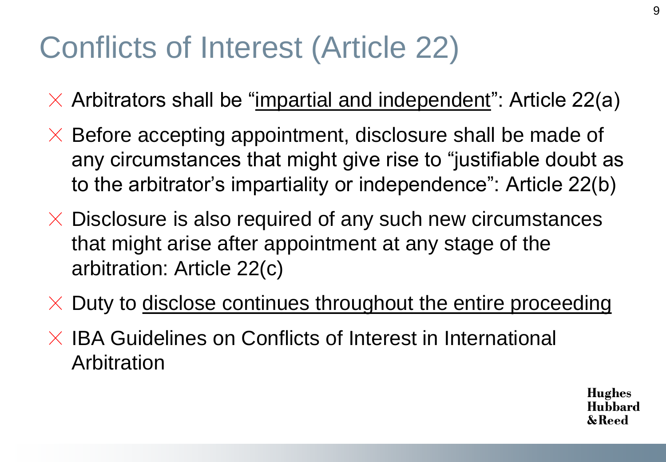# Conflicts of Interest (Article 22)

- $\times$  Arbitrators shall be "impartial and independent": Article 22(a)
- $\times$  Before accepting appointment, disclosure shall be made of any circumstances that might give rise to "justifiable doubt as to the arbitrator's impartiality or independence": Article 22(b)
- $\times$  Disclosure is also required of any such new circumstances that might arise after appointment at any stage of the arbitration: Article 22(c)
- $\times$  Duty to disclose continues throughout the entire proceeding
- $\times$  IBA Guidelines on Conflicts of Interest in International Arbitration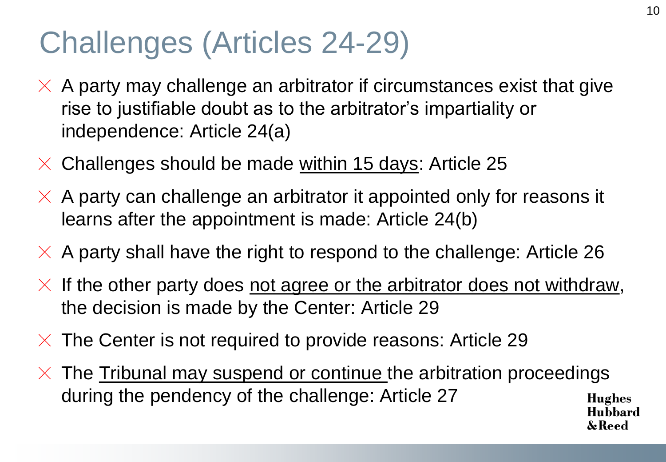## Challenges (Articles 24-29)

- $\times$  A party may challenge an arbitrator if circumstances exist that give rise to justifiable doubt as to the arbitrator's impartiality or independence: Article 24(a)
- $\times$  Challenges should be made within 15 days: Article 25
- $\times$  A party can challenge an arbitrator it appointed only for reasons it learns after the appointment is made: Article 24(b)
- $\times$  A party shall have the right to respond to the challenge: Article 26
- $\times$  If the other party does not agree or the arbitrator does not withdraw, the decision is made by the Center: Article 29
- $\times$  The Center is not required to provide reasons: Article 29
- $\times$  The <u>Tribunal may suspend or continue t</u>he arbitration proceedings during the pendency of the challenge: Article 27Hughes Hubbard

& Reed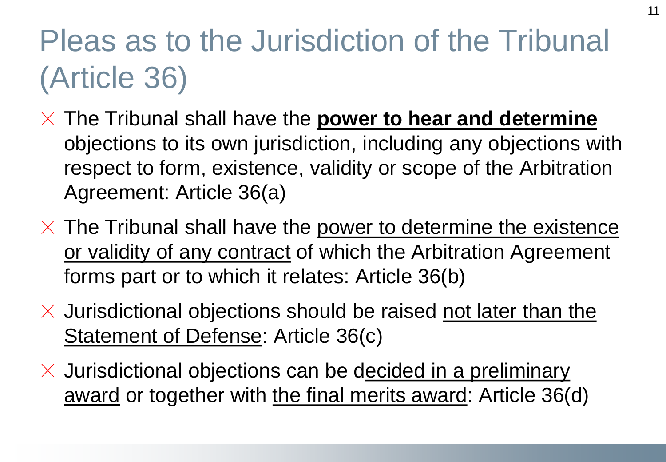# Pleas as to the Jurisdiction of the Tribunal (Article 36)

- $\times$  The Tribunal shall have the **power to hear and determine** objections to its own jurisdiction, including any objections with respect to form, existence, validity or scope of the Arbitration Agreement: Article 36(a)
- $\times$  The Tribunal shall have the power to determine the existence or validity of any contract of which the Arbitration Agreement forms part or to which it relates: Article 36(b)
- $\times$  Jurisdictional objections should be raised not later than the Statement of Defense: Article 36(c)
- $\times$  Jurisdictional objections can be decided in a preliminary award or together with the final merits award: Article 36(d)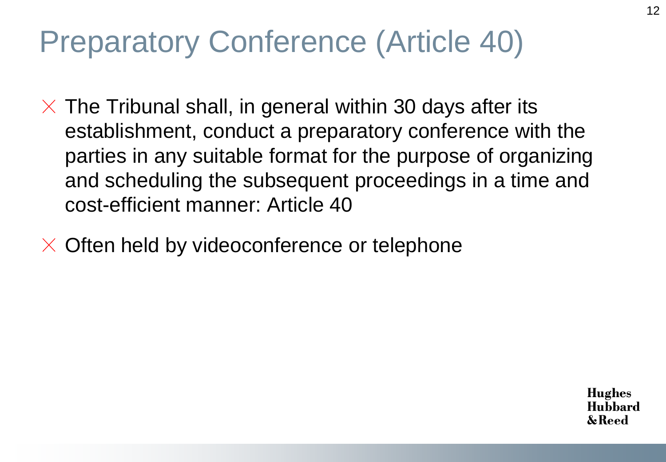## Preparatory Conference (Article 40)

 $\times$  The Tribunal shall, in general within 30 days after its establishment, conduct a preparatory conference with the parties in any suitable format for the purpose of organizing and scheduling the subsequent proceedings in a time and cost-efficient manner: Article 40

Often held by videoconference or telephone $\times$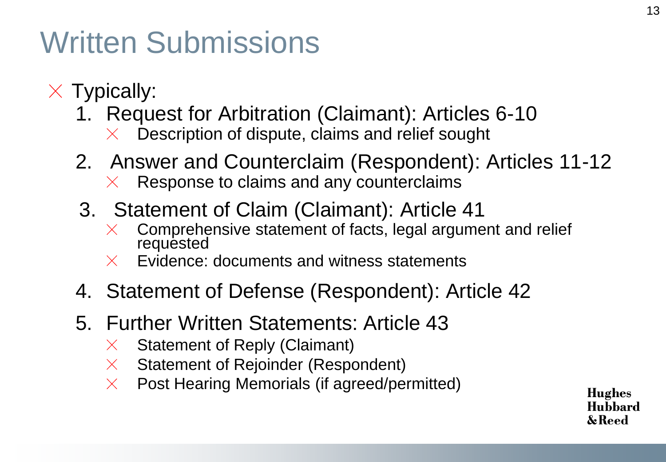## Written Submissions

- $\times$  Typically:
	- 1. Request for Arbitration (Claimant): Articles 6-10
		- Description of dispute, claims and relief sought  $\times$
	- 2. Answer and Counterclaim (Respondent): Articles 11-12 Response to claims and any counterclaims  $\times$
	- 3. Statement of Claim (Claimant): Article 41
		- Comprehensive statement of facts, legal argument and relief  $\times$ requested
		- Evidence: documents and witness statements  $\times$
	- 4. Statement of Defense (Respondent): Article 42
	- 5. Further Written Statements: Article 43
		- Statement of Reply (Claimant)  $\times$
		- Statement of Rejoinder (Respondent)  $\chi$
		- Post Hearing Memorials (if agreed/permitted)  $\times$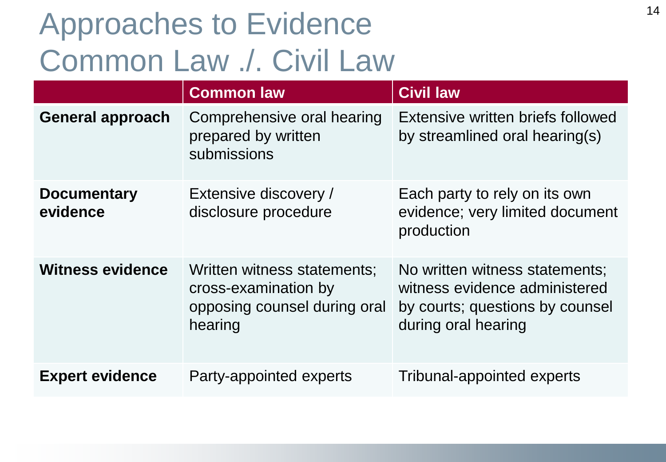# Approaches to Evidence Common Law ./. Civil Law

|                                | <b>Common law</b>                                                                              | <b>Civil law</b>                                                                                                          |  |
|--------------------------------|------------------------------------------------------------------------------------------------|---------------------------------------------------------------------------------------------------------------------------|--|
| <b>General approach</b>        | Comprehensive oral hearing<br>prepared by written<br>submissions                               | Extensive written briefs followed<br>by streamlined oral hearing(s)                                                       |  |
| <b>Documentary</b><br>evidence | Extensive discovery /<br>disclosure procedure                                                  | Each party to rely on its own<br>evidence; very limited document<br>production                                            |  |
| <b>Witness evidence</b>        | Written witness statements;<br>cross-examination by<br>opposing counsel during oral<br>hearing | No written witness statements;<br>witness evidence administered<br>by courts; questions by counsel<br>during oral hearing |  |
| <b>Expert evidence</b>         | Party-appointed experts                                                                        | <b>Tribunal-appointed experts</b>                                                                                         |  |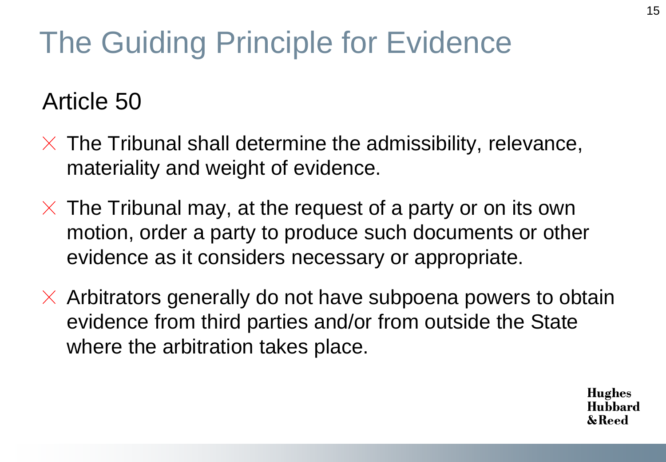# The Guiding Principle for Evidence

### Article 50

- $\times$  The Tribunal shall determine the admissibility, relevance, materiality and weight of evidence.
- $\times$  The Tribunal may, at the request of a party or on its own motion, order a party to produce such documents or other evidence as it considers necessary or appropriate.
- $\times$  Arbitrators generally do not have subpoena powers to obtain evidence from third parties and/or from outside the State where the arbitration takes place.

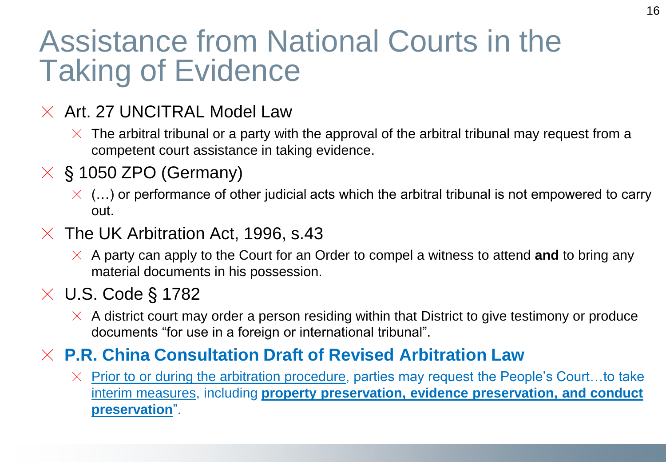### Assistance from National Courts in the Taking of Evidence

#### $\times$  Art. 27 UNCITRAL Model Law

- $\times$  The arbitral tribunal or a party with the approval of the arbitral tribunal may request from a competent court assistance in taking evidence.
- $\times$  § 1050 ZPO (Germany)
	- $\times$  (...) or performance of other judicial acts which the arbitral tribunal is not empowered to carry out.
- $\times$  The UK Arbitration Act, 1996, s.43
	- $\times$  A party can apply to the Court for an Order to compel a witness to attend **and** to bring any material documents in his possession.

#### $\times$  U.S. Code § 1782

 $\times$  A district court may order a person residing within that District to give testimony or produce documents "for use in a foreign or international tribunal".

#### **P.R. China Consultation Draft of Revised Arbitration Law**

 $\times$  Prior to or during the arbitration procedure, parties may request the People's Court...to take interim measures, including **property preservation, evidence preservation, and conduct preservation**".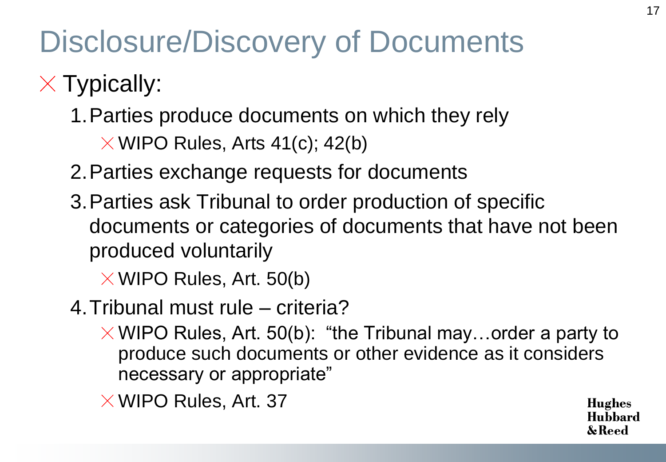# Disclosure/Discovery of Documents

- $\times$  Typically:
	- 1.Parties produce documents on which they rely
		- $\times$  WIPO Rules, Arts 41(c); 42(b)
	- 2.Parties exchange requests for documents
	- 3.Parties ask Tribunal to order production of specific documents or categories of documents that have not been produced voluntarily
		- $\times$  WIPO Rules, Art. 50(b)
	- 4.Tribunal must rule criteria?
		- $\times$  WIPO Rules, Art. 50(b): "the Tribunal may...order a party to produce such documents or other evidence as it considers necessary or appropriate"
		- $\times$  WIPO Rules, Art. 37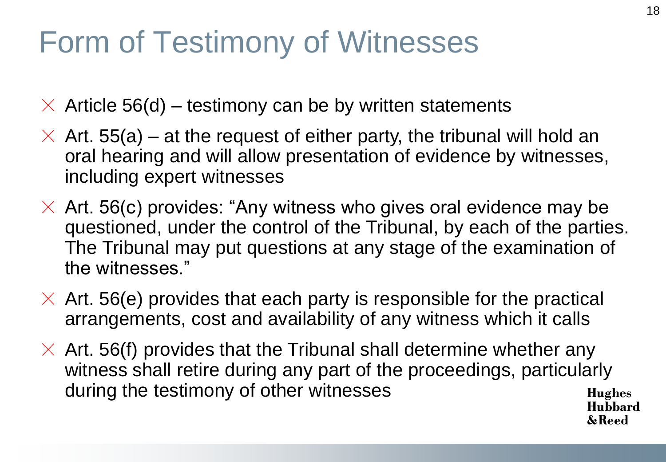# Form of Testimony of Witnesses

 $\times$  Article 56(d) – testimony can be by written statements

- $\times$  Art. 55(a) at the request of either party, the tribunal will hold an oral hearing and will allow presentation of evidence by witnesses, including expert witnesses
- $\times$  Art. 56(c) provides: "Any witness who gives oral evidence may be questioned, under the control of the Tribunal, by each of the parties. The Tribunal may put questions at any stage of the examination of the witnesses."
- $\times$  Art. 56(e) provides that each party is responsible for the practical arrangements, cost and availability of any witness which it calls
- $\times$  Art. 56(f) provides that the Tribunal shall determine whether any witness shall retire during any part of the proceedings, particularly during the testimony of other witnesses Hughes Hubbard

18

& Reed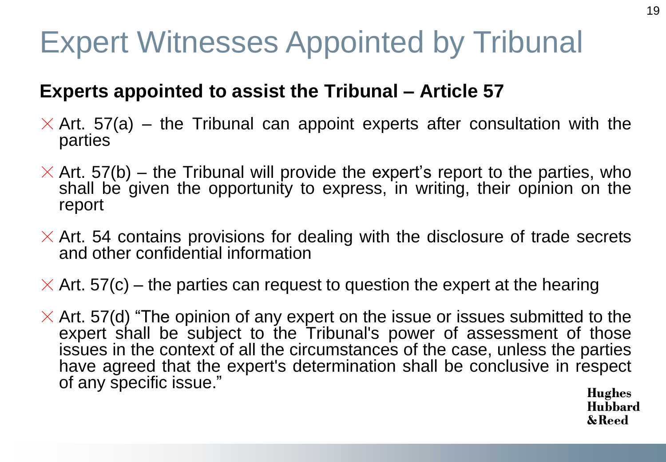# Expert Witnesses Appointed by Tribunal

#### **Experts appointed to assist the Tribunal – Article 57**

- $\times$  Art. 57(a) the Tribunal can appoint experts after consultation with the parties
- $\times$  Art. 57(b) the Tribunal will provide the expert's report to the parties, who shall be given the opportunity to express, in writing, their opinion on the report
- $\times$  Art. 54 contains provisions for dealing with the disclosure of trade secrets and other confidential information
- $\times$  Art. 57(c) the parties can request to question the expert at the hearing
- $\times$  Art. 57(d) "The opinion of any expert on the issue or issues submitted to the expert shall be subject to the Tribunal's power of assessment of those issues in the context of all the circumstances of the case, unless the parties have agreed that the expert's determination shall be conclusive in respect of any specific issue."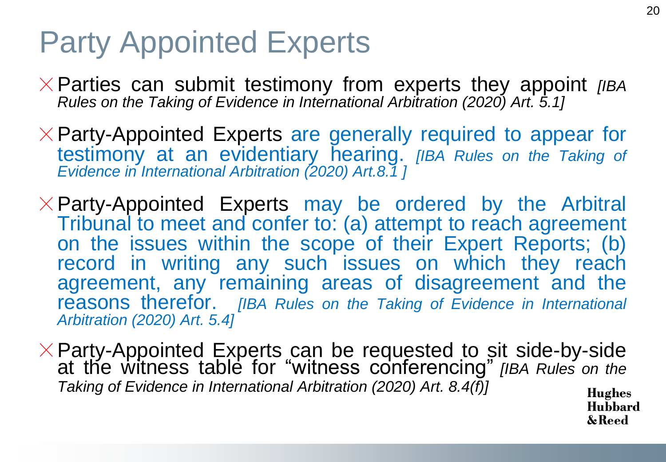### Party Appointed Experts

- Parties can submit testimony from experts they appoint *[IBA Rules on the Taking of Evidence in International Arbitration (2020) Art. 5.1]*
- $\times$  Party-Appointed Experts are generally required to appear for testimony at an evidentiary hearing. *[IBA Rules on the Taking of Evidence in International Arbitration (2020) Art.8.1 ]*
- $\times$  Party-Appointed Experts may be ordered by the Arbitral Tribunal to meet and confer to: (a) attempt to reach agreement on the issues within the scope of their Expert Reports; (b) record in writing any such issues on which they reach agreement, any remaining areas of disagreement and the reasons therefor. *[IBA Rules on the Taking of Evidence in International Arbitration (2020) Art. 5.4]*
- Party-Appointed Experts can be requested to sit side-by-side at the witness table for "witness conferencing" *[IBA Rules on the Taking of Evidence in International Arbitration (2020) Art. 8.4(f)]*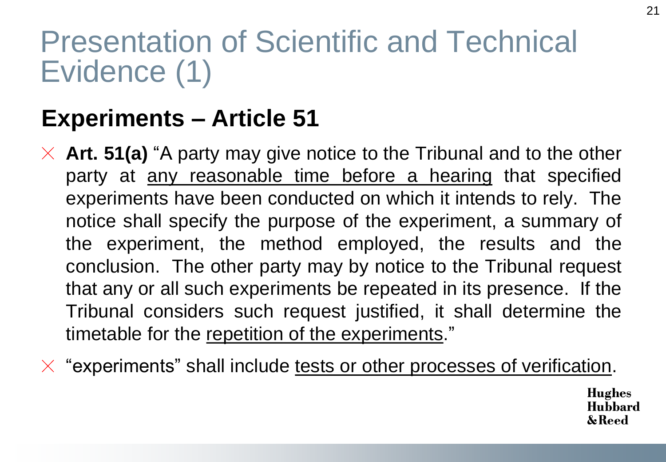## Presentation of Scientific and Technical Evidence (1)

### **Experiments – Article 51**

- $\times$  **Art. 51(a)** "A party may give notice to the Tribunal and to the other party at <u>any reasonable time before a hearing</u> that specified experiments have been conducted on which it intends to rely. The notice shall specify the purpose of the experiment, a summary of the experiment, the method employed, the results and the conclusion. The other party may by notice to the Tribunal request that any or all such experiments be repeated in its presence. If the Tribunal considers such request justified, it shall determine the timetable for the repetition of the experiments."
- $\times$  "experiments" shall include tests or other processes of verification.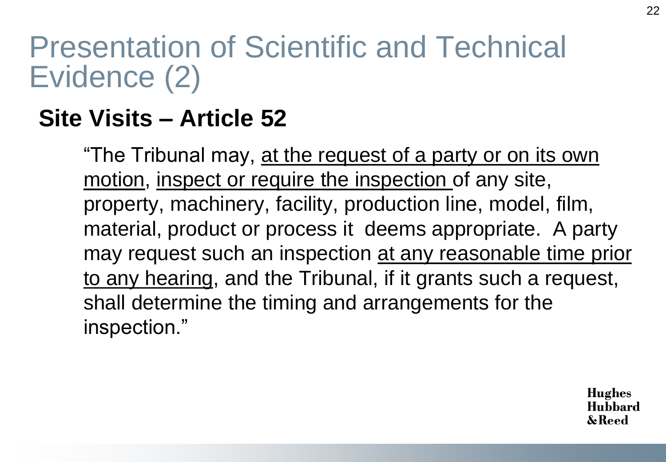## Presentation of Scientific and Technical Evidence (2)

### **Site Visits – Article 52**

"The Tribunal may, at the request of a party or on its own motion, inspect or require the inspection of any site, property, machinery, facility, production line, model, film, material, product or process it deems appropriate. A party may request such an inspection at any reasonable time prior to any hearing, and the Tribunal, if it grants such a request, shall determine the timing and arrangements for the inspection."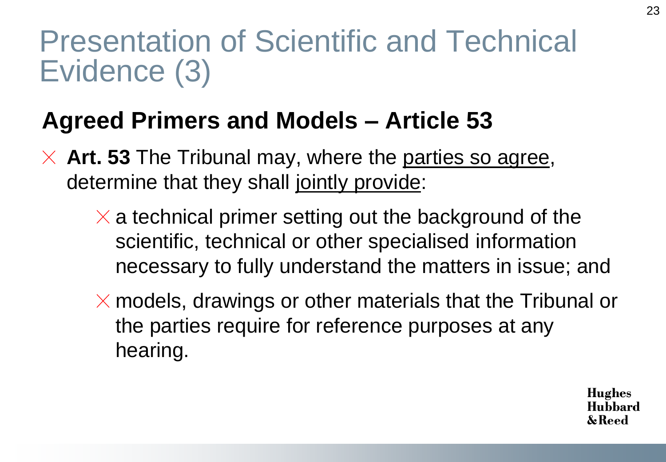### Presentation of Scientific and Technical Evidence (3)

### **Agreed Primers and Models – Article 53**

- $\times$  **Art. 53** The Tribunal may, where the parties so agree, determine that they shall jointly provide:
	- $\times$  a technical primer setting out the background of the scientific, technical or other specialised information necessary to fully understand the matters in issue; and
	- $\times$  models, drawings or other materials that the Tribunal or the parties require for reference purposes at any hearing.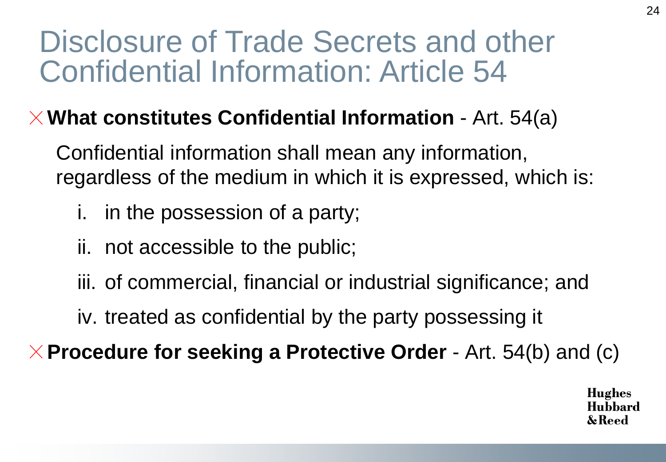### Disclosure of Trade Secrets and other Confidential Information: Article 54

#### **What constitutes Confidential Information** - Art. 54(a)

Confidential information shall mean any information, regardless of the medium in which it is expressed, which is:

- i. in the possession of a party;
- ii. not accessible to the public;
- iii. of commercial, financial or industrial significance; and
- iv. treated as confidential by the party possessing it

**Procedure for seeking a Protective Order** - Art. 54(b) and (c)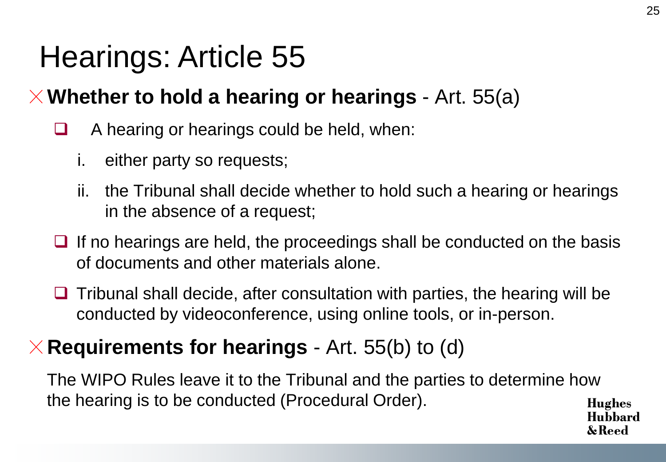## Hearings: Article 55

#### **Whether to hold a hearing or hearings** - Art. 55(a)

- $\Box$  A hearing or hearings could be held, when:
	- i. either party so requests;
	- ii. the Tribunal shall decide whether to hold such a hearing or hearings in the absence of a request;
- $\Box$  If no hearings are held, the proceedings shall be conducted on the basis of documents and other materials alone.
- $\Box$  Tribunal shall decide, after consultation with parties, the hearing will be conducted by videoconference, using online tools, or in-person.

#### **Requirements for hearings** - Art. 55(b) to (d)

The WIPO Rules leave it to the Tribunal and the parties to determine how the hearing is to be conducted (Procedural Order). **Hughes** Huhhard

& Keed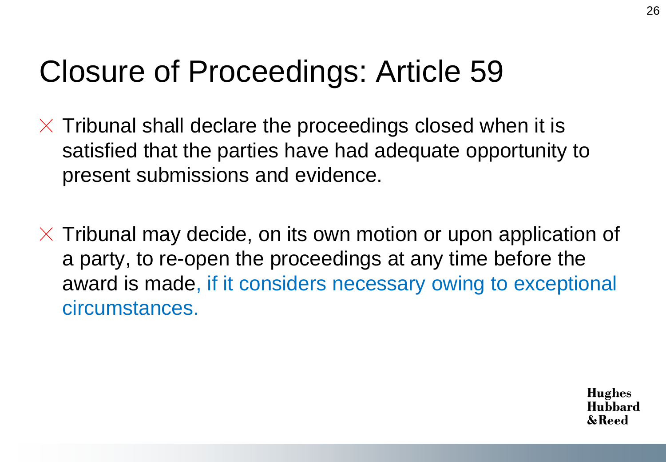## Closure of Proceedings: Article 59

- $\times$  Tribunal shall declare the proceedings closed when it is satisfied that the parties have had adequate opportunity to present submissions and evidence.
- $\times$  Tribunal may decide, on its own motion or upon application of a party, to re-open the proceedings at any time before the award is made, if it considers necessary owing to exceptional circumstances.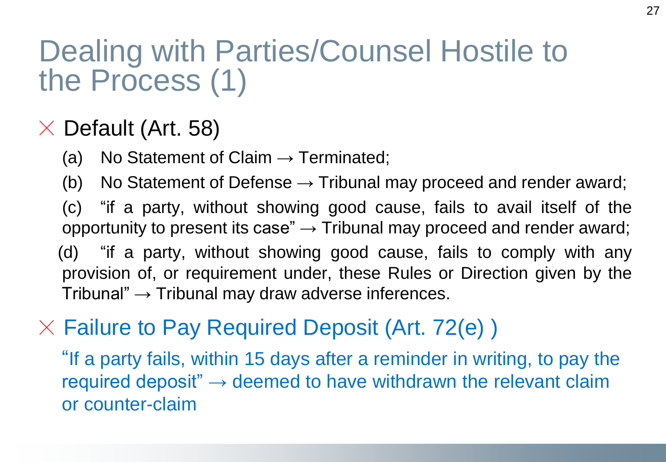## Dealing with Parties/Counsel Hostile to the Process (1)

### $\times$  Default (Art. 58)

- (a) No Statement of Claim  $\rightarrow$  Terminated;
- (b) No Statement of Defense  $\rightarrow$  Tribunal may proceed and render award;
- (c) "if a party, without showing good cause, fails to avail itself of the opportunity to present its case"  $\rightarrow$  Tribunal may proceed and render award;
- (d) "if a party, without showing good cause, fails to comply with any provision of, or requirement under, these Rules or Direction given by the Tribunal"  $\rightarrow$  Tribunal may draw adverse inferences.

#### $\times$  Failure to Pay Required Deposit (Art. 72(e))

"If a party fails, within 15 days after a reminder in writing, to pay the required deposit"  $\rightarrow$  deemed to have withdrawn the relevant claim or counter-claim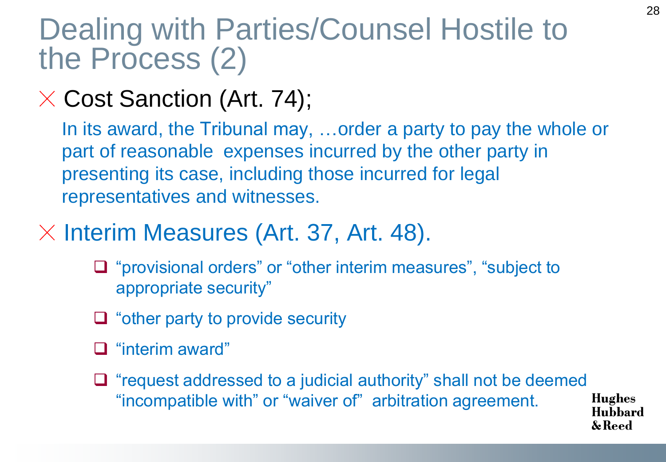### Dealing with Parties/Counsel Hostile to the Process (2)

### $\times$  Cost Sanction (Art. 74);

In its award, the Tribunal may, …order a party to pay the whole or part of reasonable expenses incurred by the other party in presenting its case, including those incurred for legal representatives and witnesses.

#### $\times$  Interim Measures (Art. 37, Art. 48).

- □ "provisional orders" or "other interim measures", "subject to appropriate security"
- $\Box$  "other party to provide security"
- □ "interim award"
- $\Box$  "request addressed to a judicial authority" shall not be deemed "incompatible with" or "waiver of" arbitration agreement.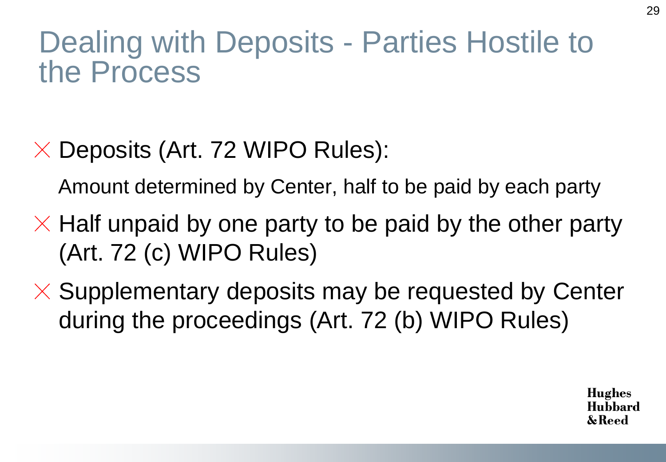### Dealing with Deposits - Parties Hostile to the Process

 $\times$  Deposits (Art. 72 WIPO Rules):

Amount determined by Center, half to be paid by each party

- $\times$  Half unpaid by one party to be paid by the other party (Art. 72 (c) WIPO Rules)
- $\times$  Supplementary deposits may be requested by Center during the proceedings (Art. 72 (b) WIPO Rules)

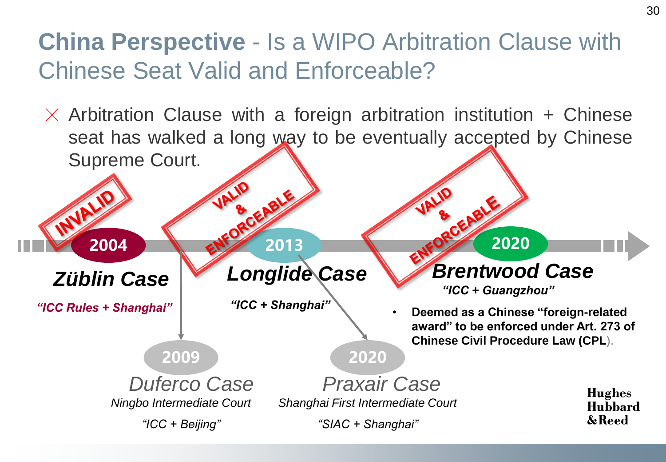### **China Perspective** - Is a WIPO Arbitration Clause with Chinese Seat Valid and Enforceable?

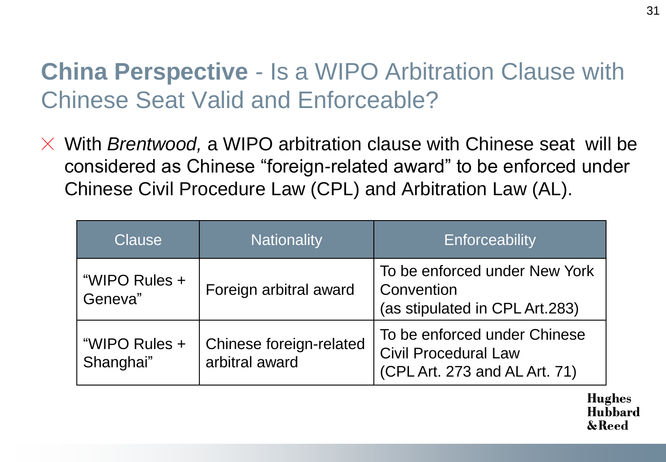### **China Perspective** - Is a WIPO Arbitration Clause with Chinese Seat Valid and Enforceable?

 $\times$  With *Brentwood*, a WIPO arbitration clause with Chinese seat will be considered as Chinese "foreign-related award" to be enforced under Chinese Civil Procedure Law (CPL) and Arbitration Law (AL).

| Clause                     | <b>Nationality</b>                        | Enforceability                                                                               |
|----------------------------|-------------------------------------------|----------------------------------------------------------------------------------------------|
| "WIPO Rules +<br>Geneva"   | Foreign arbitral award                    | To be enforced under New York<br>Convention<br>(as stipulated in CPL Art.283)                |
| "WIPO Rules +<br>Shanghai" | Chinese foreign-related<br>arbitral award | To be enforced under Chinese<br><b>Civil Procedural Law</b><br>(CPL Art. 273 and AL Art. 71) |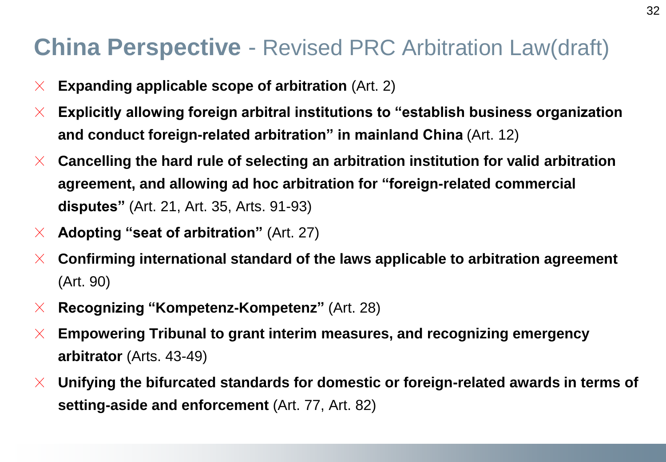#### **China Perspective** - Revised PRC Arbitration Law(draft)

- **Expanding applicable scope of arbitration** (Art. 2)  $\times$
- **Explicitly allowing foreign arbitral institutions to "establish business organization**   $\chi$ **and conduct foreign-related arbitration" in mainland China** (Art. 12)
- **Cancelling the hard rule of selecting an arbitration institution for valid arbitration**   $\times$ **agreement, and allowing ad hoc arbitration for "foreign-related commercial disputes"** (Art. 21, Art. 35, Arts. 91-93)
- **Adopting "seat of arbitration"** (Art. 27)  $\times$
- **Confirming international standard of the laws applicable to arbitration agreement**   $\chi$ (Art. 90)
- **Recognizing "Kompetenz-Kompetenz"** (Art. 28)  $\times$
- **Empowering Tribunal to grant interim measures, and recognizing emergency**   $\times$ **arbitrator** (Arts. 43-49)
- **Unifying the bifurcated standards for domestic or foreign-related awards in terms of**   $\mathsf{X}$ **setting-aside and enforcement** (Art. 77, Art. 82)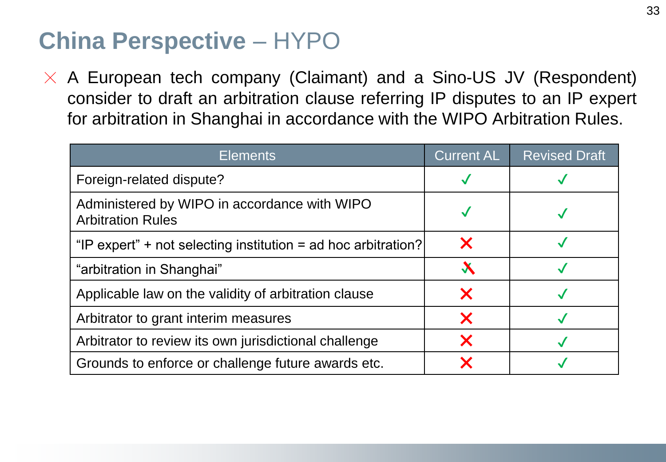#### **China Perspective** – HYPO

 $\times$  A European tech company (Claimant) and a Sino-US JV (Respondent) consider to draft an arbitration clause referring IP disputes to an IP expert for arbitration in Shanghai in accordance with the WIPO Arbitration Rules.

| <b>Elements</b>                                                          | <b>Current AL</b>      | <b>Revised Draft</b> |
|--------------------------------------------------------------------------|------------------------|----------------------|
| Foreign-related dispute?                                                 |                        |                      |
| Administered by WIPO in accordance with WIPO<br><b>Arbitration Rules</b> |                        |                      |
| "IP expert" + not selecting institution = ad hoc arbitration?            | X                      |                      |
| "arbitration in Shanghai"                                                | $\boldsymbol{\lambda}$ |                      |
| Applicable law on the validity of arbitration clause                     | X                      |                      |
| Arbitrator to grant interim measures                                     | X                      |                      |
| Arbitrator to review its own jurisdictional challenge                    | X                      |                      |
| Grounds to enforce or challenge future awards etc.                       | Х                      |                      |